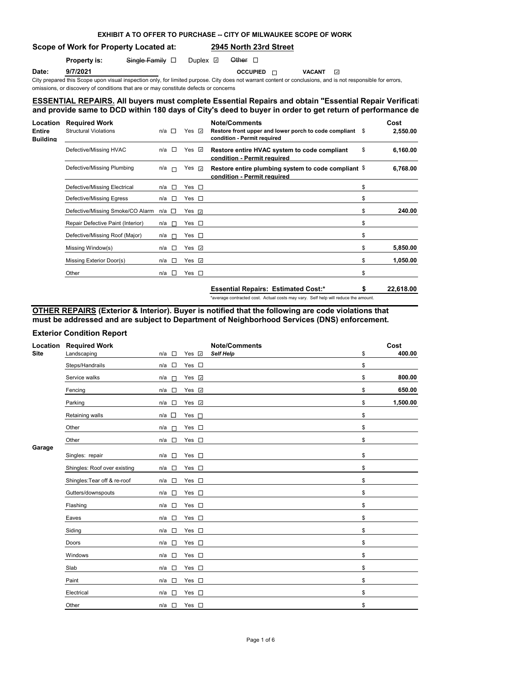## **EXHIBIT A TO OFFER TO PURCHASE -- CITY OF MILWAUKEE SCOPE OF WORK**

## **Scope of Work for Property Located at: 2945 North 23rd Street**

### **Property is:** Single Family D Duplex D Other D

**Date: 9/7/2021 OCCUPIED OCCUPIED VACANT** 

City prepared this Scope upon visual inspection only, for limited purpose. City does not warrant content or conclusions, and is not responsible for errors, omissions, or discovery of conditions that are or may constitute defects or concerns

## **ESSENTIAL REPAIRS. All buyers must complete Essential Repairs and obtain "Essential Repair Verification Form"** and provide same to DCD within 180 days of City's deed to buyer in order to get return of performance de

| Location<br><b>Entire</b><br><b>Building</b> | <b>Required Work</b><br><b>Structural Violations</b> | $\Box$<br>n/a | Yes | $\sim$             | <b>Note/Comments</b><br>Restore front upper and lower porch to code compliant \$<br>condition - Permit required |    | Cost<br>2,550.00 |
|----------------------------------------------|------------------------------------------------------|---------------|-----|--------------------|-----------------------------------------------------------------------------------------------------------------|----|------------------|
|                                              | Defective/Missing HVAC                               | $\sim$<br>n/a |     | Yes $\overline{v}$ | Restore entire HVAC system to code compliant<br>condition - Permit required                                     | \$ | 6,160.00         |
|                                              | Defective/Missing Plumbing                           | n/a<br>$\Box$ |     | Yes ⊽              | Restore entire plumbing system to code compliant \$<br>condition - Permit required                              |    | 6,768.00         |
|                                              | Defective/Missing Electrical                         | $\sim$<br>n/a |     | Yes $\square$      |                                                                                                                 | \$ |                  |
|                                              | Defective/Missing Egress                             | п<br>n/a      |     | Yes $\square$      |                                                                                                                 | \$ |                  |
|                                              | Defective/Missing Smoke/CO Alarm                     | $n/a$ $\Box$  |     | Yes ⊽              |                                                                                                                 | \$ | 240.00           |
|                                              | Repair Defective Paint (Interior)                    | n/a<br>$\Box$ |     | Yes $\square$      |                                                                                                                 | \$ |                  |
|                                              | Defective/Missing Roof (Major)                       | n/a<br>$\Box$ |     | Yes $\square$      |                                                                                                                 | \$ |                  |
|                                              | Missing Window(s)                                    | $\sim$<br>n/a |     | Yes ⊡              |                                                                                                                 | \$ | 5,850.00         |
|                                              | Missing Exterior Door(s)                             | $\sim$<br>n/a |     | Yes $\overline{v}$ |                                                                                                                 | \$ | 1,050.00         |
|                                              | Other                                                | $\Box$<br>n/a |     | Yes $\Box$         |                                                                                                                 | \$ |                  |
|                                              |                                                      |               |     |                    | <b>Essential Repairs: Estimated Cost:*</b>                                                                      | S  | 22,618.00        |

\*average contracted cost. Actual costs may vary. Self help will reduce the amount.

**OTHER REPAIRS (Exterior & Interior). Buyer is notified that the following are code violations that must be addressed and are subject to Department of Neighborhood Services (DNS) enforcement.**

## **Exterior Condition Report**

| Location    | <b>Required Work</b>         |                                 |                | <b>Note/Comments</b> | Cost           |
|-------------|------------------------------|---------------------------------|----------------|----------------------|----------------|
| <b>Site</b> | Landscaping                  | $\Box$<br>n/a                   | Yes $\sqrt{2}$ | <b>Self Help</b>     | \$<br>400.00   |
|             | Steps/Handrails              | $\Box$<br>n/a                   | Yes $\square$  |                      | \$             |
|             | Service walks                | n/a<br>$\overline{\phantom{a}}$ | Yes <b>⊽</b>   |                      | \$<br>800.00   |
|             | Fencing                      | n/a<br>$\overline{\phantom{a}}$ | Yes 7          |                      | \$<br>650.00   |
|             | Parking                      | $\Box$<br>n/a                   | Yes <b>⊽</b>   |                      | \$<br>1,500.00 |
|             | Retaining walls              | $\Box$<br>n/a                   | Yes $\Box$     |                      | \$             |
|             | Other                        | n/a<br>$\sim$                   | Yes $\square$  |                      | \$             |
| Garage      | Other                        | $\Box$<br>n/a                   | Yes $\square$  |                      | \$             |
|             | Singles: repair              | n/a<br>$\Box$                   | Yes $\square$  |                      | \$             |
|             | Shingles: Roof over existing | $\sim$<br>n/a                   | Yes $\square$  |                      | \$             |
|             | Shingles: Tear off & re-roof | $\overline{\phantom{a}}$<br>n/a | Yes<br>$\Box$  |                      | \$             |
|             | Gutters/downspouts           | n/a<br>$\Box$                   | Yes $\square$  |                      | \$             |
|             | Flashing                     | n/a<br>$\overline{\phantom{a}}$ | Yes $\square$  |                      | \$             |
|             | Eaves                        | $\Box$<br>n/a                   | Yes $\square$  |                      | \$             |
|             | Siding                       | n/a<br>$\overline{\phantom{a}}$ | Yes $\square$  |                      | \$             |
|             | Doors                        | n/a<br>$\Box$                   | Yes $\square$  |                      | \$             |
|             | Windows                      | n/a<br>$\overline{\phantom{a}}$ | Yes $\square$  |                      | \$             |
|             | Slab                         | $\Box$<br>n/a                   | Yes $\square$  |                      | \$             |
|             | Paint                        | $\Box$<br>n/a                   | Yes $\square$  |                      | \$             |
|             | Electrical                   | $\Box$<br>n/a                   | Yes $\square$  |                      | \$             |
|             | Other                        | $\Box$<br>n/a                   | Yes $\square$  |                      | \$             |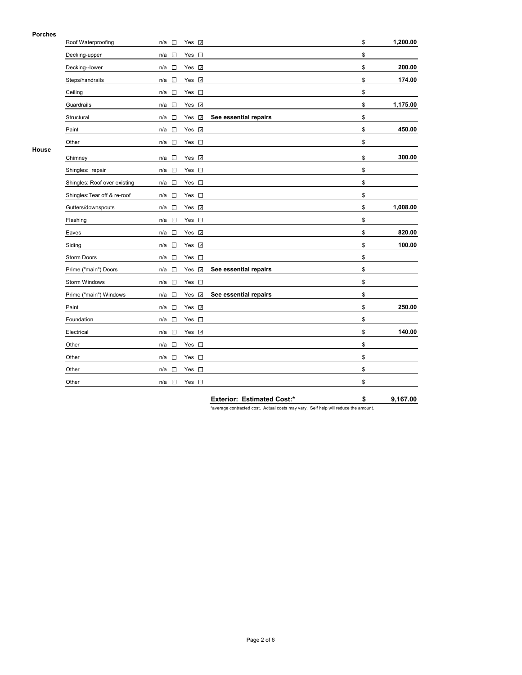### **Porches**

| гиинеэ | Roof Waterproofing           | n/a<br>П                           | Yes v                              |                       | \$<br>1,200.00 |
|--------|------------------------------|------------------------------------|------------------------------------|-----------------------|----------------|
|        | Decking-upper                | n/a<br>$\overline{\phantom{a}}$    | $\mathcal{L}_{\mathcal{A}}$<br>Yes |                       | \$             |
|        | Decking--lower               | n/a<br>$\Box$                      | Yes V                              |                       | \$<br>200.00   |
|        | Steps/handrails              | $\Box$<br>n/a                      | Yes Z                              |                       | \$<br>174.00   |
|        | Ceiling                      | $\mathcal{L}_{\mathcal{A}}$<br>n/a | Yes $\square$                      |                       | \$             |
|        | Guardrails                   | $\Box$<br>n/a                      | Yes <b>v</b>                       |                       | \$<br>1,175.00 |
|        | Structural                   | n/a<br>$\Box$                      | $\omega$<br>Yes                    | See essential repairs | \$             |
|        | Paint                        | $\Box$<br>n/a                      | Yes V                              |                       | \$<br>450.00   |
|        | Other                        | $\overline{\phantom{a}}$<br>n/a    | Yes $\square$                      |                       | \$             |
| House  | Chimney                      | $\Box$<br>n/a                      | $\omega$<br>Yes                    |                       | \$<br>300.00   |
|        | Shingles: repair             | n/a<br>$\overline{\phantom{a}}$    | Yes<br>$\mathcal{L}_{\mathcal{A}}$ |                       | \$             |
|        | Shingles: Roof over existing | n/a<br>$\overline{\phantom{a}}$    | $\Box$<br>Yes                      |                       | \$             |
|        | Shingles: Tear off & re-roof | $\Box$<br>n/a                      | Yes $\square$                      |                       | \$             |
|        | Gutters/downspouts           | $\Box$<br>n/a                      | Yes <b>☑</b>                       |                       | \$<br>1,008.00 |
|        | Flashing                     | $\Box$<br>n/a                      | Yes $\square$                      |                       | \$             |
|        | Eaves                        | n/a<br>$\overline{\phantom{a}}$    | Yes v                              |                       | \$<br>820.00   |
|        | Siding                       | $\Box$<br>n/a                      | Yes v                              |                       | \$<br>100.00   |
|        | Storm Doors                  | $\Box$<br>n/a                      | Yes<br>$\mathcal{L}_{\mathcal{A}}$ |                       | \$             |
|        | Prime ("main") Doors         | n/a<br>$\Box$                      | $\omega$<br>Yes                    | See essential repairs | \$             |
|        | Storm Windows                | $\Box$<br>n/a                      | Yes $\square$                      |                       | \$             |
|        | Prime ("main") Windows       | $\overline{\phantom{a}}$<br>n/a    | Yes √                              | See essential repairs | \$             |
|        | Paint                        | $\Box$<br>n/a                      | Yes V                              |                       | \$<br>250.00   |
|        | Foundation                   | $\sim$<br>n/a                      | $\overline{\phantom{a}}$<br>Yes    |                       | \$             |
|        | Electrical                   | $\Box$<br>n/a                      | Yes v                              |                       | \$<br>140.00   |
|        | Other                        | $\Box$<br>n/a                      | Yes $\square$                      |                       | \$             |
|        | Other                        | n/a<br>$\overline{\phantom{a}}$    | Yes $\square$                      |                       | \$             |
|        | Other                        | $\Box$<br>n/a                      | Yes $\square$                      |                       | \$             |
|        | Other                        | n/a<br>$\overline{\phantom{a}}$    | $\mathcal{L}_{\mathcal{A}}$<br>Yes |                       | \$             |

**Exterior: Estimated Cost:\* \$ 9,167.00**

\*average contracted cost. Actual costs may vary. Self help will reduce the amount.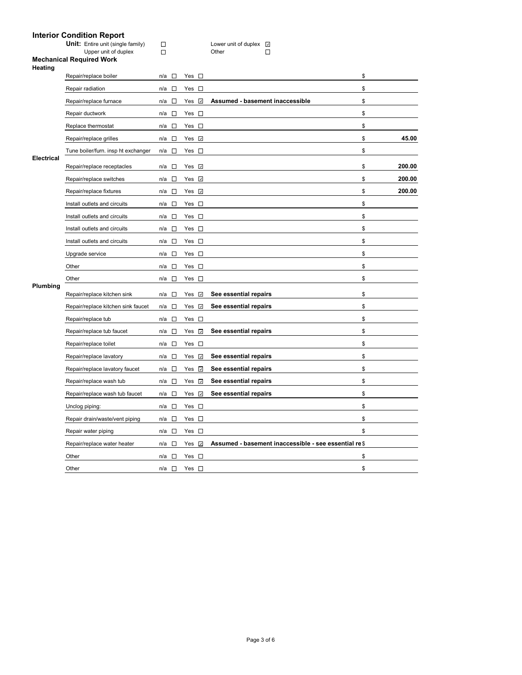# **Interior Condition Report**

|                   | umun neport<br><b>Unit:</b> Entire unit (single family)<br>Upper unit of duplex<br><b>Mechanical Required Work</b> | $\Box$<br>П                     |                                 | Lower unit of duplex <a><br/>□<br/>Other</a>          |              |
|-------------------|--------------------------------------------------------------------------------------------------------------------|---------------------------------|---------------------------------|-------------------------------------------------------|--------------|
| Heating           |                                                                                                                    |                                 |                                 |                                                       |              |
|                   | Repair/replace boiler                                                                                              | n/a<br>$\sim$                   | Yes $\square$                   |                                                       | \$           |
|                   | Repair radiation                                                                                                   | $\sim$<br>n/a                   | $\sim 10$<br>Yes                |                                                       | \$           |
|                   | Repair/replace furnace                                                                                             | $\overline{a}$<br>n/a           | Yes <b>☑</b>                    | Assumed - basement inaccessible                       | \$           |
|                   | Repair ductwork                                                                                                    | n/a $\square$                   | Yes $\square$                   |                                                       | \$           |
|                   | Replace thermostat                                                                                                 | $\overline{a}$<br>n/a           | Yes $\square$                   |                                                       | \$           |
|                   | Repair/replace grilles                                                                                             | $\sim$<br>n/a                   | Yes $\overline{v}$              |                                                       | \$<br>45.00  |
| <b>Electrical</b> | Tune boiler/furn. insp ht exchanger                                                                                | $\Box$<br>n/a                   | Yes<br>$\sim$                   |                                                       | \$           |
|                   | Repair/replace receptacles                                                                                         | $\sim$<br>n/a                   | Yes $\overline{v}$              |                                                       | \$<br>200.00 |
|                   | Repair/replace switches                                                                                            | $\overline{a}$<br>n/a           | Yes <i>⊽</i>                    |                                                       | \$<br>200.00 |
|                   | Repair/replace fixtures                                                                                            | $\overline{\phantom{a}}$<br>n/a | Yes <b>☑</b>                    |                                                       | \$<br>200.00 |
|                   | Install outlets and circuits                                                                                       | n/a<br>$\sim$                   | Yes<br>$\sim 10$                |                                                       | \$           |
|                   | Install outlets and circuits                                                                                       | $\sim$<br>n/a                   | Yes $\square$                   |                                                       | \$           |
|                   | Install outlets and circuits                                                                                       | $\sim$<br>n/a                   | Yes $\square$                   |                                                       | \$           |
|                   | Install outlets and circuits                                                                                       | n/a<br>$\sim$                   | $Yes \Box$                      |                                                       | \$           |
|                   | Upgrade service                                                                                                    | $\Box$<br>n/a                   | Yes $\square$                   |                                                       | \$           |
|                   | Other                                                                                                              | $\overline{a}$<br>n/a           | Yes $\square$                   |                                                       | \$           |
|                   | Other                                                                                                              | n/a<br>$\sim$                   | Yes $\square$                   |                                                       | \$           |
| Plumbing          | Repair/replace kitchen sink                                                                                        | n/a<br>$\Box$                   | Yes<br>$\omega$                 | See essential repairs                                 | \$           |
|                   | Repair/replace kitchen sink faucet                                                                                 | $\mathbb{R}^n$<br>n/a           | Yes V                           | See essential repairs                                 | \$           |
|                   | Repair/replace tub                                                                                                 | n/a<br>$\sim$                   | Yes $\square$                   |                                                       | \$           |
|                   | Repair/replace tub faucet                                                                                          | $\sim$<br>n/a                   | Yes $\overline{v}$              | See essential repairs                                 | \$           |
|                   | Repair/replace toilet                                                                                              | n/a<br>$\Box$                   | Yes<br>$\sim 10$                |                                                       | \$           |
|                   | Repair/replace lavatory                                                                                            | n/a<br>$\mathcal{L}$            | Yes<br>$\omega$                 | See essential repairs                                 | \$           |
|                   | Repair/replace lavatory faucet                                                                                     | $\overline{\phantom{a}}$<br>n/a | Yes<br>$\overline{\mathcal{A}}$ | See essential repairs                                 | \$           |
|                   | Repair/replace wash tub                                                                                            | n/a<br>$\sim$                   | $\omega$<br>Yes                 | See essential repairs                                 | \$           |
|                   | Repair/replace wash tub faucet                                                                                     | $\Box$<br>n/a                   | Yes<br>$\overline{\mathcal{L}}$ | See essential repairs                                 | \$           |
|                   | Unclog piping:                                                                                                     | $\sim$<br>n/a                   | Yes $\square$                   |                                                       | \$           |
|                   | Repair drain/waste/vent piping                                                                                     | n/a<br>$\sim$                   | Yes $\square$                   |                                                       | \$           |
|                   | Repair water piping                                                                                                | $\sim$<br>n/a                   | Yes<br>$\sim 10$                |                                                       | \$           |
|                   | Repair/replace water heater                                                                                        | $\Box$<br>n/a                   | $\omega$<br>Yes                 | Assumed - basement inaccessible - see essential re \$ |              |
|                   | Other                                                                                                              | $\overline{\phantom{a}}$<br>n/a | Yes $\square$                   |                                                       | \$           |
|                   | Other                                                                                                              | $\sim$<br>n/a                   | Yes $\square$                   |                                                       | \$           |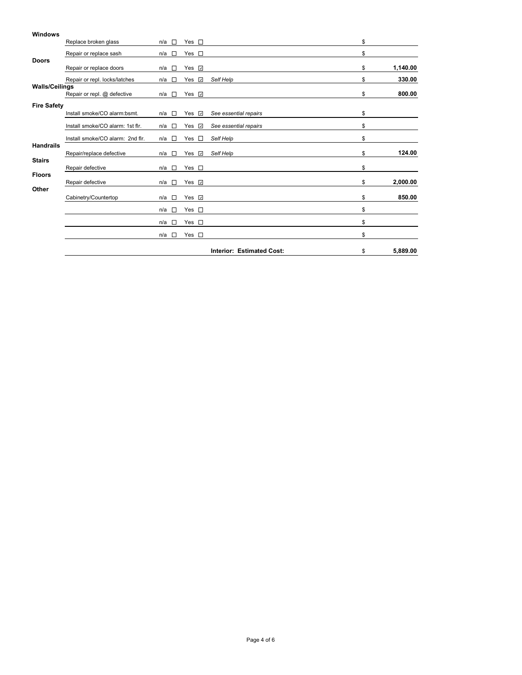## **Windows** Replace broken glass n/a  $\Box$  Yes  $\Box$  \$ Repair or replace sash n/a  $\Box$  Yes  $\Box$ **Doors** Repair or replace doors **n/a** □ Yes **□** and the set of the set of the set of the set of the set of the set of the set of the set of the set of the set of the set of the set of the set of the set of the set of the set of t Repair or repl. locks/latches n/a □ Yes *a* Self Help **blue and a self the self Help** \$ 330.00 **Walls/Ceilings Repair or repl. @ defective n/a □ Yes □ 800.00 \$ 800.00 Fire Safety**<br>Install smoke/CO alarm:bsmt. Install smoke/CO alarm:bsmt. n/a Yes *See essential repairs* \$ Install smoke/CO alarm: 1st flr. n/a □ Yes *⊡* See essential repairs **\$** \$ Install smoke/CO alarm: 2nd flr. n/a  $\Box$  Yes  $\Box$  Self Help \$ **Handrails** Repair/replace defective n/a □ Yes *⊡* Self Help **blues and the self of the self of the self of the self of the self of the self of the self of the self of the self of the self of the self of the self of the self of the s Stairs** Repair defective n/a  $\Box$  Yes  $\Box$  8 **Floors** Repair defective n/a □ Yes **□** and the state of the state of the state of the state of the state of the state of the state of the state of the state of the state of the state of the state of the state of the state of the **Other** Cabinetry/Countertop n/a □ Yes **a 850.00** \$ 850.00  $n/a \Box$  Yes  $\Box$  $n/a \Box$  Yes  $\Box$  $n/a \Box$  Yes  $\Box$ **Interior: Estimated Cost:** \$ **5,889.00**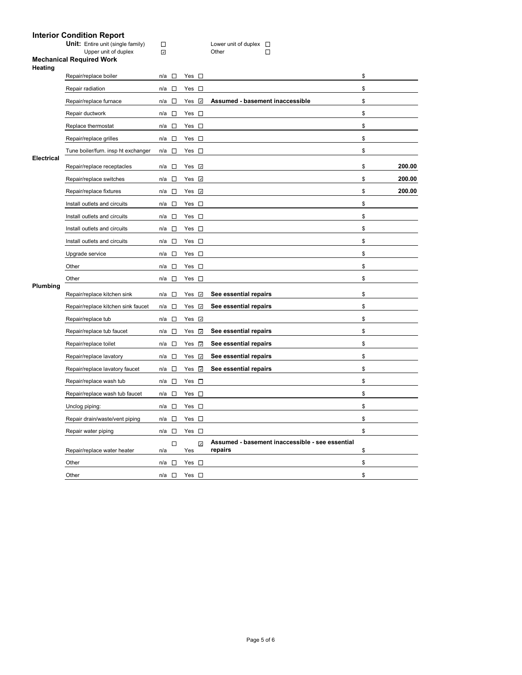# **Interior Condition Report**

|                   | interior condition report                                 |                                 |                     |                                                            |              |  |
|-------------------|-----------------------------------------------------------|---------------------------------|---------------------|------------------------------------------------------------|--------------|--|
|                   | Unit: Entire unit (single family)<br>Upper unit of duplex | $\Box$<br>$\boldsymbol{J}$      |                     | Lower unit of duplex $\square$<br>П<br>Other               |              |  |
| Heating           | <b>Mechanical Required Work</b>                           |                                 |                     |                                                            |              |  |
|                   | Repair/replace boiler                                     | $\Box$<br>n/a                   | Yes $\square$       |                                                            | \$           |  |
|                   | Repair radiation                                          | n/a<br>$\overline{\phantom{a}}$ | Yes $\square$       |                                                            | \$           |  |
|                   | Repair/replace furnace                                    | $\overline{a}$<br>n/a           | Yes <b>☑</b>        | Assumed - basement inaccessible                            | \$           |  |
|                   | Repair ductwork                                           | $n/a$ $\square$                 | Yes $\square$       |                                                            | \$           |  |
|                   | Replace thermostat                                        | n/a $\square$                   | Yes $\square$       |                                                            | \$           |  |
|                   | Repair/replace grilles                                    | $\Box$<br>n/a                   | Yes $\square$       |                                                            | \$           |  |
|                   | Tune boiler/furn. insp ht exchanger                       | $\Box$<br>n/a                   | Yes $\square$       |                                                            | \$           |  |
| <b>Electrical</b> | Repair/replace receptacles                                | n/a<br>$\Box$                   | Yes <b>☑</b>        |                                                            | \$<br>200.00 |  |
|                   | Repair/replace switches                                   | n/a<br>$\sim$                   | Yes <b>☑</b>        |                                                            | \$<br>200.00 |  |
|                   | Repair/replace fixtures                                   | $\Box$<br>n/a                   | Yes <b>☑</b>        |                                                            | \$<br>200.00 |  |
|                   | Install outlets and circuits                              | $\overline{\phantom{a}}$<br>n/a | Yes $\square$       |                                                            | \$           |  |
|                   | Install outlets and circuits                              | $\Box$<br>n/a                   | Yes $\square$       |                                                            | \$           |  |
|                   | Install outlets and circuits                              | n/a<br>$\overline{\phantom{a}}$ | Yes $\square$       |                                                            | \$           |  |
|                   | Install outlets and circuits                              | $\overline{\phantom{a}}$<br>n/a | Yes $\square$       |                                                            | \$           |  |
|                   | Upgrade service                                           | n/a<br>$\sim$                   | $Yes \Box$          |                                                            | \$           |  |
|                   | Other                                                     | n/a<br>$\overline{\phantom{a}}$ | $Yes \Box$          |                                                            | \$           |  |
|                   | Other                                                     | $\sim$<br>n/a                   | Yes $\square$       |                                                            | \$           |  |
| Plumbing          | Repair/replace kitchen sink                               | $\overline{\phantom{a}}$<br>n/a | Yes <b>☑</b>        | See essential repairs                                      | \$           |  |
|                   | Repair/replace kitchen sink faucet                        | $\Box$<br>n/a                   | Yes $\sqrt{2}$      | See essential repairs                                      | \$           |  |
|                   | Repair/replace tub                                        | n/a<br>$\Box$                   | Yes <b>☑</b>        |                                                            | \$           |  |
|                   | Repair/replace tub faucet                                 | n/a<br>$\Box$                   | Yes $\overline{v}$  | See essential repairs                                      | \$           |  |
|                   | Repair/replace toilet                                     | n/a<br>$\sim$                   | Yes $\overline{z}$  | See essential repairs                                      | \$           |  |
|                   | Repair/replace lavatory                                   | $\Box$<br>n/a                   | Yes $\sqrt{2}$      | See essential repairs                                      | \$           |  |
|                   | Repair/replace lavatory faucet                            | $\sim$<br>n/a                   | Yes $\overline{v}$  | See essential repairs                                      | \$           |  |
|                   | Repair/replace wash tub                                   | $\Box$<br>n/a                   | Yes $\square$       |                                                            | \$           |  |
|                   | Repair/replace wash tub faucet                            | n/a<br>$\Box$                   | Yes $\square$       |                                                            | \$           |  |
|                   | Unclog piping:                                            | $\Box$<br>n/a                   | $Yes \Box$          |                                                            | \$           |  |
|                   | Repair drain/waste/vent piping                            | $\Box$<br>n/a                   | Yes $\square$       |                                                            | \$           |  |
|                   | Repair water piping                                       | $\overline{\phantom{a}}$<br>n/a | Yes $\square$       |                                                            | \$           |  |
|                   | Repair/replace water heater                               | $\Box$<br>n/a                   | $\mathcal J$<br>Yes | Assumed - basement inaccessible - see essential<br>repairs | \$           |  |
|                   | Other                                                     | $\sim$<br>n/a                   | Yes $\square$       |                                                            | \$           |  |
|                   | Other                                                     | $\overline{\phantom{a}}$<br>n/a | Yes $\square$       |                                                            | \$           |  |